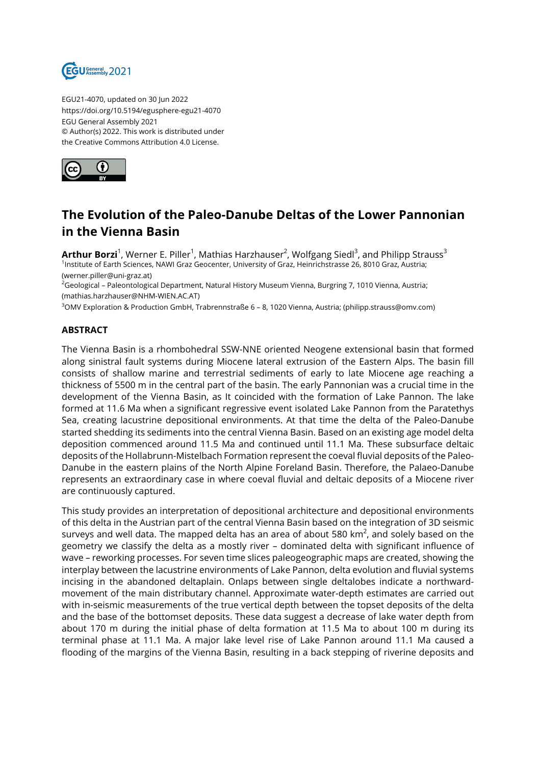

EGU21-4070, updated on 30 Jun 2022 https://doi.org/10.5194/egusphere-egu21-4070 EGU General Assembly 2021 © Author(s) 2022. This work is distributed under the Creative Commons Attribution 4.0 License.



## **The Evolution of the Paleo-Danube Deltas of the Lower Pannonian in the Vienna Basin**

 $\mathsf{Arthur}\ \mathsf{Borzi}^1$ , Werner E. Piller<sup>1</sup>, Mathias Harzhauser<sup>2</sup>, Wolfgang Siedl<sup>3</sup>, and Philipp Strauss<sup>3</sup> 1 Institute of Earth Sciences, NAWI Graz Geocenter, University of Graz, Heinrichstrasse 26, 8010 Graz, Austria; (werner.piller@uni-graz.at)

<sup>2</sup>Geological – Paleontological Department, Natural History Museum Vienna, Burgring 7, 1010 Vienna, Austria; (mathias.harzhauser@NHM-WIEN.AC.AT)

<sup>3</sup>OMV Exploration & Production GmbH, Trabrennstraße 6 – 8, 1020 Vienna, Austria; (philipp.strauss@omv.com)

## **ABSTRACT**

The Vienna Basin is a rhombohedral SSW-NNE oriented Neogene extensional basin that formed along sinistral fault systems during Miocene lateral extrusion of the Eastern Alps. The basin fill consists of shallow marine and terrestrial sediments of early to late Miocene age reaching a thickness of 5500 m in the central part of the basin. The early Pannonian was a crucial time in the development of the Vienna Basin, as It coincided with the formation of Lake Pannon. The lake formed at 11.6 Ma when a significant regressive event isolated Lake Pannon from the Paratethys Sea, creating lacustrine depositional environments. At that time the delta of the Paleo-Danube started shedding its sediments into the central Vienna Basin. Based on an existing age model delta deposition commenced around 11.5 Ma and continued until 11.1 Ma. These subsurface deltaic deposits of the Hollabrunn-Mistelbach Formation represent the coeval fluvial deposits of the Paleo-Danube in the eastern plains of the North Alpine Foreland Basin. Therefore, the Palaeo-Danube represents an extraordinary case in where coeval fluvial and deltaic deposits of a Miocene river are continuously captured.

This study provides an interpretation of depositional architecture and depositional environments of this delta in the Austrian part of the central Vienna Basin based on the integration of 3D seismic surveys and well data. The mapped delta has an area of about 580 km $^2$ , and solely based on the geometry we classify the delta as a mostly river – dominated delta with significant influence of wave – reworking processes. For seven time slices paleogeographic maps are created, showing the interplay between the lacustrine environments of Lake Pannon, delta evolution and fluvial systems incising in the abandoned deltaplain. Onlaps between single deltalobes indicate a northwardmovement of the main distributary channel. Approximate water-depth estimates are carried out with in-seismic measurements of the true vertical depth between the topset deposits of the delta and the base of the bottomset deposits. These data suggest a decrease of lake water depth from about 170 m during the initial phase of delta formation at 11.5 Ma to about 100 m during its terminal phase at 11.1 Ma. A major lake level rise of Lake Pannon around 11.1 Ma caused a flooding of the margins of the Vienna Basin, resulting in a back stepping of riverine deposits and